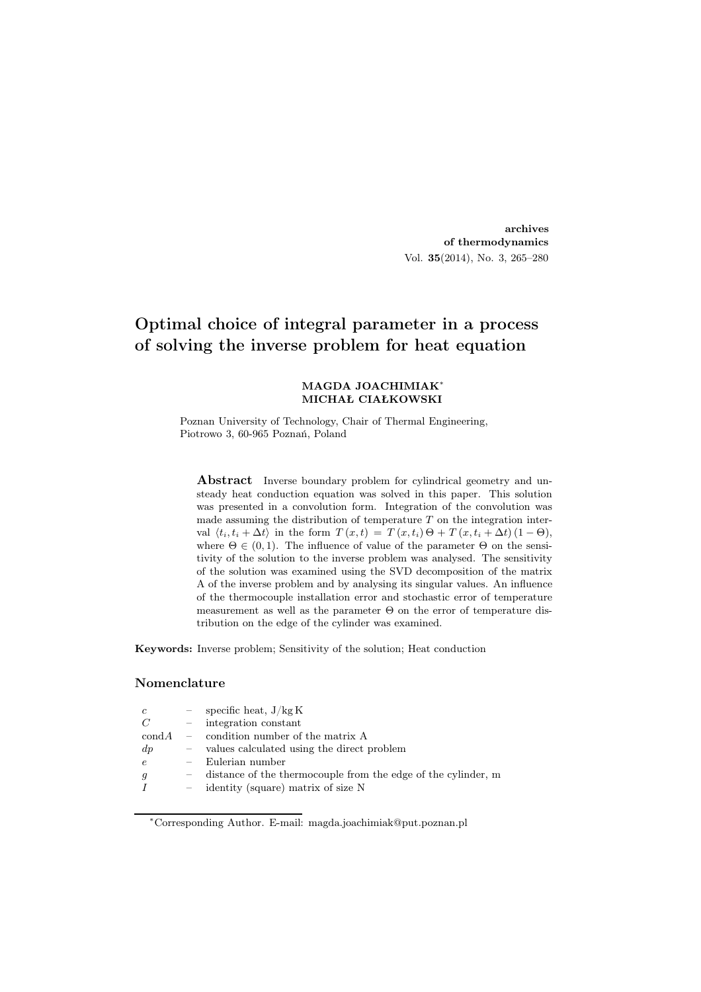archives of thermodynamics Vol. 35(2014), No. 3, 265–280

# Optimal choice of integral parameter in a process of solving the inverse problem for heat equation

#### MAGDA JOACHIMIAK<sup>∗</sup> MICHAŁ CIAŁKOWSKI

Poznan University of Technology, Chair of Thermal Engineering, Piotrowo 3, 60-965 Poznań, Poland

Abstract Inverse boundary problem for cylindrical geometry and unsteady heat conduction equation was solved in this paper. This solution was presented in a convolution form. Integration of the convolution was made assuming the distribution of temperature  $T$  on the integration interval  $\langle t_i, t_i + \Delta t \rangle$  in the form  $T (x, t) = T (x, t_i) \Theta + T (x, t_i + \Delta t) (1 - \Theta),$ where  $\Theta \in (0, 1)$ . The influence of value of the parameter  $\Theta$  on the sensitivity of the solution to the inverse problem was analysed. The sensitivity of the solution was examined using the SVD decomposition of the matrix A of the inverse problem and by analysing its singular values. An influence of the thermocouple installation error and stochastic error of temperature measurement as well as the parameter  $\Theta$  on the error of temperature distribution on the edge of the cylinder was examined.

Keywords: Inverse problem; Sensitivity of the solution; Heat conduction

#### Nomenclature

| $\boldsymbol{c}$ |                                 | $\frac{1}{2}$ specific heat, $J/kg K$                         |
|------------------|---------------------------------|---------------------------------------------------------------|
| C                | $\overline{\phantom{m}}$        | integration constant                                          |
| $\text{cond}A$   | $\sim$                          | condition number of the matrix A                              |
| $\,dp$           |                                 | - values calculated using the direct problem                  |
| $\epsilon$       |                                 | $\overline{-}$ Eulerian number                                |
|                  | $-$                             | distance of the thermocouple from the edge of the cylinder, m |
|                  | $\hspace{0.1mm}-\hspace{0.1mm}$ | identity (square) matrix of size N                            |
|                  |                                 |                                                               |

<sup>∗</sup>Corresponding Author. E-mail: magda.joachimiak@put.poznan.pl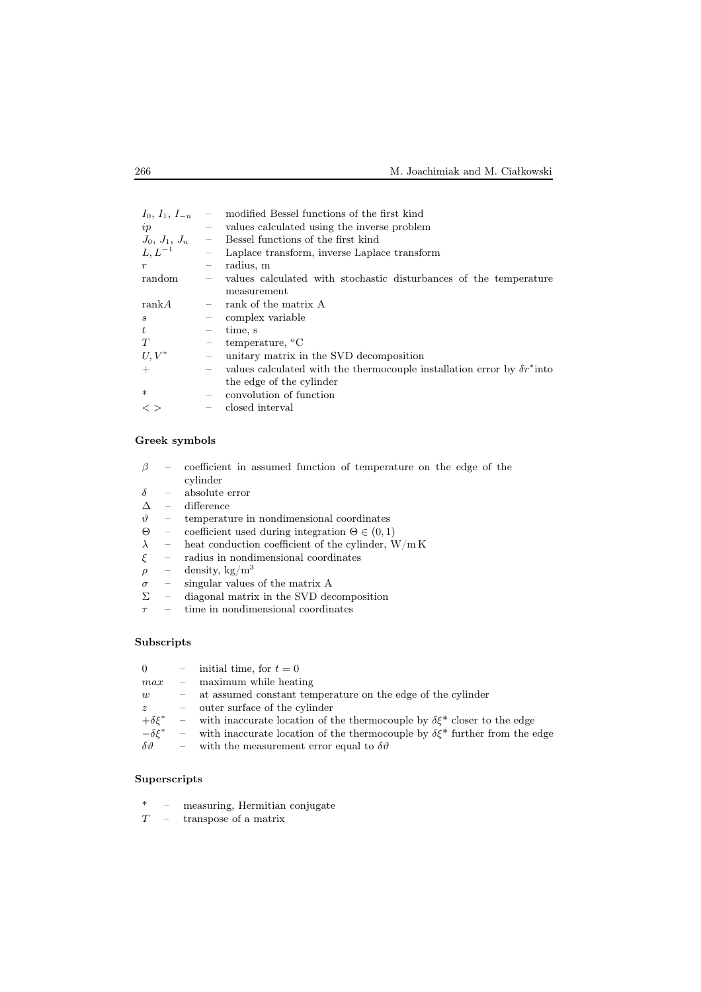|                                                                                                         | modified Bessel functions of the first kind                                     |  |  |  |  |
|---------------------------------------------------------------------------------------------------------|---------------------------------------------------------------------------------|--|--|--|--|
| $\overline{\phantom{m}}$                                                                                | values calculated using the inverse problem                                     |  |  |  |  |
| $\overline{\phantom{a}}$                                                                                | Bessel functions of the first kind                                              |  |  |  |  |
| $\overline{\phantom{m}}$                                                                                | Laplace transform, inverse Laplace transform                                    |  |  |  |  |
| $\overline{\phantom{m}}$                                                                                | radius, m                                                                       |  |  |  |  |
| random<br>values calculated with stochastic disturbances of the temperature<br>$\overline{\phantom{m}}$ |                                                                                 |  |  |  |  |
|                                                                                                         | measurement                                                                     |  |  |  |  |
|                                                                                                         | rank of the matrix A                                                            |  |  |  |  |
| $\overline{\phantom{m}}$                                                                                | complex variable                                                                |  |  |  |  |
|                                                                                                         | time, s                                                                         |  |  |  |  |
| $\equiv$                                                                                                | temperature, $\mathrm{^{\circ}C}$                                               |  |  |  |  |
| $\overline{\phantom{m}}$                                                                                | unitary matrix in the SVD decomposition                                         |  |  |  |  |
| $\overline{\phantom{m}}$                                                                                | values calculated with the thermocouple installation error by $\delta r^*$ into |  |  |  |  |
|                                                                                                         | the edge of the cylinder                                                        |  |  |  |  |
|                                                                                                         | convolution of function                                                         |  |  |  |  |
|                                                                                                         | closed interval                                                                 |  |  |  |  |
|                                                                                                         |                                                                                 |  |  |  |  |

### Greek symbols

|  | - coefficient in assumed function of temperature on the edge of the |
|--|---------------------------------------------------------------------|
|  | cylinder                                                            |
|  | $\delta$ – absolute error                                           |
|  | - difference                                                        |
|  | $\vartheta$ - temperature in nondimensional coordinates             |
|  | $\Theta$ – coefficient used during integration $\Theta \in (0,1)$   |
|  | $\lambda$ - heat conduction coefficient of the cylinder, W/m K      |
|  | $\xi$ - radius in nondimensional coordinates                        |

- $\rho$  density, kg/m<sup>3</sup>
- $\sigma$  singular values of the matrix A
- $ξ$  radius in nondimensional coordinates<br>  $ρ$  density, kg/m<sup>3</sup><br>  $σ$  singular values of the matrix A<br>  $Σ$  diagonal matrix in the SVD decomposition<br>  $τ$  time in nondimensional coordinates
- $\tau$  time in nondimensional coordinates

### Subscripts

|   | 0 - initial time, for $t=0$                                                                            |
|---|--------------------------------------------------------------------------------------------------------|
|   | $max =$ maximum while heating                                                                          |
| w | - at assumed constant temperature on the edge of the cylinder                                          |
|   | $z =$ outer surface of the cylinder                                                                    |
|   | $+\delta \xi^*$ – with inaccurate location of the thermocouple by $\delta \xi^*$ closer to the edge    |
|   | $-\delta \xi^*$ – with inaccurate location of the thermocouple by $\delta \xi^*$ further from the edge |
|   | $\delta \theta$ - with the measurement error equal to $\delta \theta$                                  |

#### Superscripts

- \* measuring, Hermitian conjugate
- $T =$  transpose of a matrix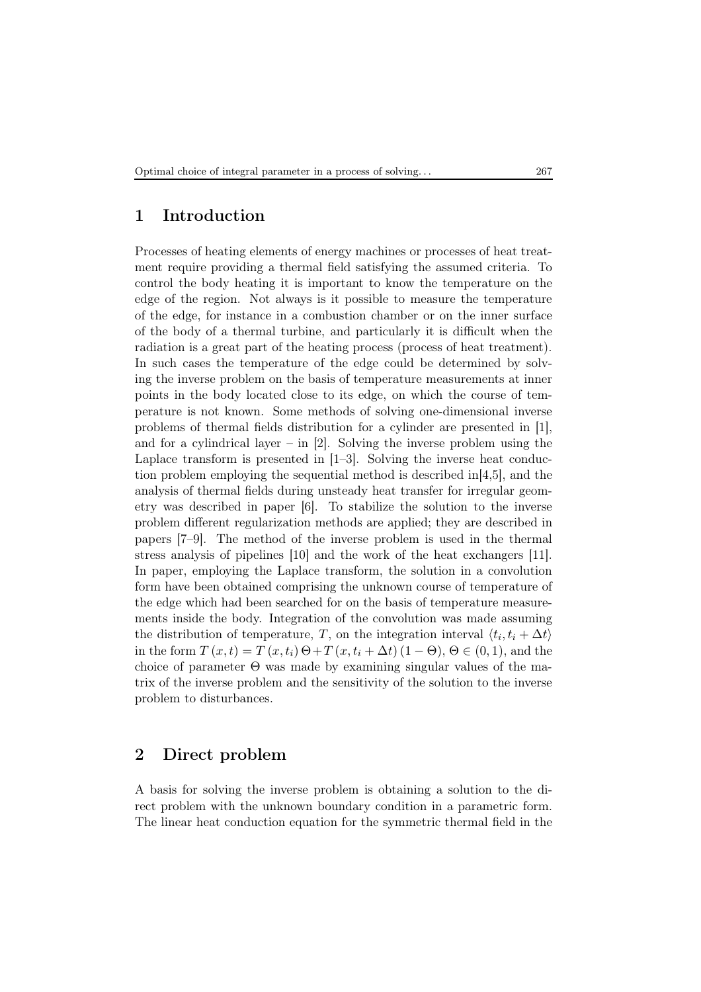## 1 Introduction

Processes of heating elements of energy machines or processes of heat treatment require providing a thermal field satisfying the assumed criteria. To control the body heating it is important to know the temperature on the edge of the region. Not always is it possible to measure the temperature of the edge, for instance in a combustion chamber or on the inner surface of the body of a thermal turbine, and particularly it is difficult when the radiation is a great part of the heating process (process of heat treatment). In such cases the temperature of the edge could be determined by solving the inverse problem on the basis of temperature measurements at inner points in the body located close to its edge, on which the course of temperature is not known. Some methods of solving one-dimensional inverse problems of thermal fields distribution for a cylinder are presented in [1], and for a cylindrical layer – in  $[2]$ . Solving the inverse problem using the Laplace transform is presented in [1–3]. Solving the inverse heat conduction problem employing the sequential method is described in[4,5], and the analysis of thermal fields during unsteady heat transfer for irregular geometry was described in paper [6]. To stabilize the solution to the inverse problem different regularization methods are applied; they are described in papers [7–9]. The method of the inverse problem is used in the thermal stress analysis of pipelines [10] and the work of the heat exchangers [11]. In paper, employing the Laplace transform, the solution in a convolution form have been obtained comprising the unknown course of temperature of the edge which had been searched for on the basis of temperature measurements inside the body. Integration of the convolution was made assuming the distribution of temperature, T, on the integration interval  $\langle t_i, t_i + \Delta t \rangle$ in the form  $T(x,t) = T(x,t_i) \Theta + T(x,t_i + \Delta t) (1-\Theta)$ ,  $\Theta \in (0,1)$ , and the choice of parameter  $\Theta$  was made by examining singular values of the matrix of the inverse problem and the sensitivity of the solution to the inverse problem to disturbances.

## 2 Direct problem

A basis for solving the inverse problem is obtaining a solution to the direct problem with the unknown boundary condition in a parametric form. The linear heat conduction equation for the symmetric thermal field in the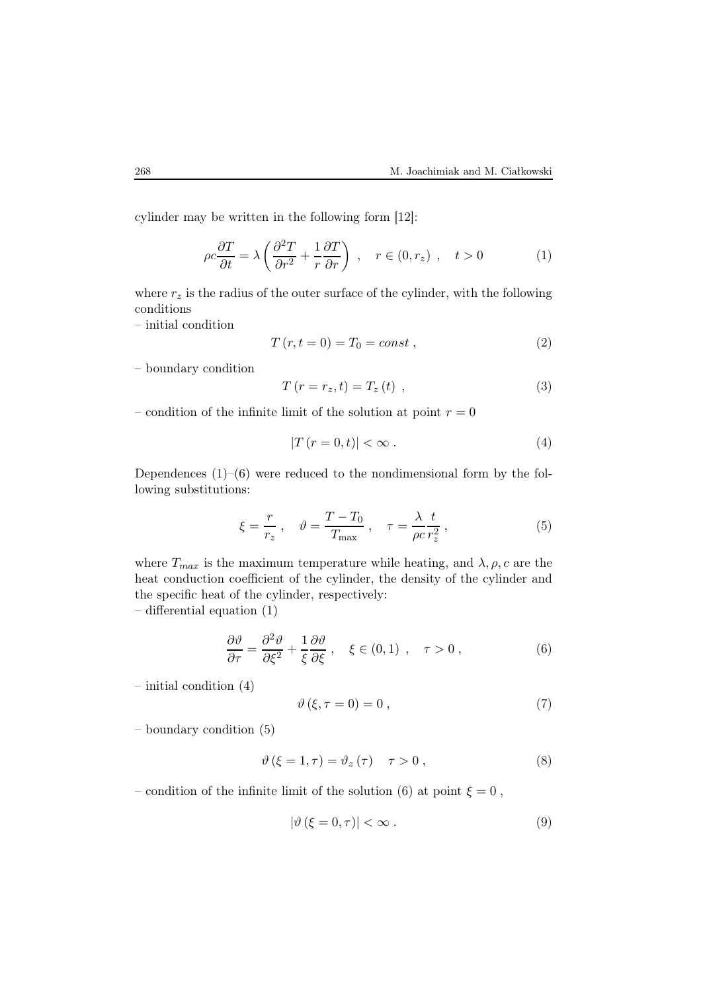cylinder may be written in the following form [12]:

$$
\rho c \frac{\partial T}{\partial t} = \lambda \left( \frac{\partial^2 T}{\partial r^2} + \frac{1}{r} \frac{\partial T}{\partial r} \right) , \quad r \in (0, r_z) , \quad t > 0
$$
 (1)

where  $r_z$  is the radius of the outer surface of the cylinder, with the following conditions

– initial condition

$$
T(r,t=0) = T_0 = const , \qquad (2)
$$

– boundary condition

$$
T(r = r_z, t) = T_z(t) , \qquad (3)
$$

– condition of the infinite limit of the solution at point  $r = 0$ 

$$
|T(r=0,t)| < \infty .
$$
 (4)

Dependences  $(1)$ – $(6)$  were reduced to the nondimensional form by the following substitutions:

$$
\xi = \frac{r}{r_z} \,, \quad \vartheta = \frac{T - T_0}{T_{\text{max}}} \,, \quad \tau = \frac{\lambda}{\rho c} \frac{t}{r_z^2} \,, \tag{5}
$$

where  $T_{max}$  is the maximum temperature while heating, and  $\lambda, \rho, c$  are the heat conduction coefficient of the cylinder, the density of the cylinder and the specific heat of the cylinder, respectively: – differential equation (1)

$$
\frac{\partial \vartheta}{\partial \tau} = \frac{\partial^2 \vartheta}{\partial \xi^2} + \frac{1}{\xi} \frac{\partial \vartheta}{\partial \xi} , \quad \xi \in (0, 1) , \quad \tau > 0 ,
$$
 (6)

– initial condition (4)

$$
\vartheta\left(\xi,\tau=0\right)=0\,,\tag{7}
$$

– boundary condition (5)

$$
\vartheta \left( \xi = 1, \tau \right) = \vartheta_z \left( \tau \right) \quad \tau > 0 , \tag{8}
$$

– condition of the infinite limit of the solution (6) at point  $\xi = 0$ ,

$$
|\vartheta(\xi=0,\tau)| < \infty \tag{9}
$$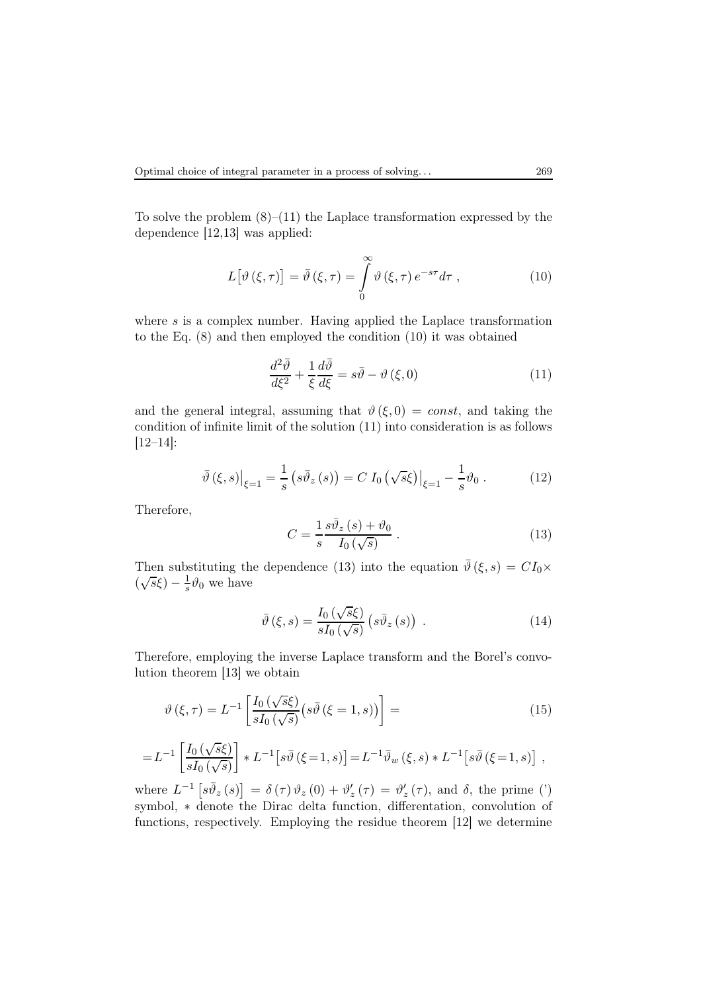To solve the problem  $(8)–(11)$  the Laplace transformation expressed by the dependence [12,13] was applied:

$$
L[\vartheta(\xi,\tau)] = \bar{\vartheta}(\xi,\tau) = \int_{0}^{\infty} \vartheta(\xi,\tau) e^{-s\tau} d\tau , \qquad (10)
$$

where  $s$  is a complex number. Having applied the Laplace transformation to the Eq. (8) and then employed the condition (10) it was obtained

$$
\frac{d^2\bar{\vartheta}}{d\xi^2} + \frac{1}{\xi}\frac{d\bar{\vartheta}}{d\xi} = s\bar{\vartheta} - \vartheta\left(\xi, 0\right) \tag{11}
$$

and the general integral, assuming that  $\vartheta(\xi,0) = const$ , and taking the condition of infinite limit of the solution (11) into consideration is as follows [12–14]:

$$
\bar{\vartheta}\left(\xi,s\right)\big|_{\xi=1} = \frac{1}{s}\left(s\bar{\vartheta}_{z}\left(s\right)\right) = C I_{0}\left(\sqrt{s}\xi\right)\big|_{\xi=1} - \frac{1}{s}\vartheta_{0}.
$$
 (12)

Therefore,

$$
C = \frac{1}{s} \frac{s\bar{\vartheta}_z(s) + \vartheta_0}{I_0(\sqrt{s})} \,. \tag{13}
$$

Then substituting the dependence (13) into the equation  $\bar{\vartheta}(\xi, s) = CI_0 \times$  $(\sqrt{s}\xi)-\frac{1}{s}$  $\frac{1}{s}\vartheta_0$  we have

$$
\bar{\vartheta}\left(\xi,s\right) = \frac{I_0\left(\sqrt{s}\xi\right)}{sI_0\left(\sqrt{s}\right)}\left(s\bar{\vartheta}_z\left(s\right)\right) \ . \tag{14}
$$

Therefore, employing the inverse Laplace transform and the Borel's convolution theorem [13] we obtain

$$
\vartheta(\xi,\tau) = L^{-1} \left[ \frac{I_0(\sqrt{s}\xi)}{sI_0(\sqrt{s})} \left( s\overline{\vartheta} \left( \xi = 1, s \right) \right) \right] = \tag{15}
$$

$$
= L^{-1}\left[\frac{I_0\left(\sqrt{s}\xi\right)}{sI_0\left(\sqrt{s}\right)}\right] * L^{-1}\left[s\bar{\vartheta}\left(\xi=1,s\right)\right] = L^{-1}\bar{\vartheta}_w\left(\xi,s\right) * L^{-1}\left[s\bar{\vartheta}\left(\xi=1,s\right)\right] ,
$$

where  $L^{-1}\left[s\bar{\vartheta}_{z}(s)\right] = \delta(\tau)\vartheta_{z}(0) + \vartheta_{z}'(\tau) = \vartheta_{z}'(\tau)$ , and  $\delta$ , the prime (') symbol, \* denote the Dirac delta function, differentation, convolution of functions, respectively. Employing the residue theorem [12] we determine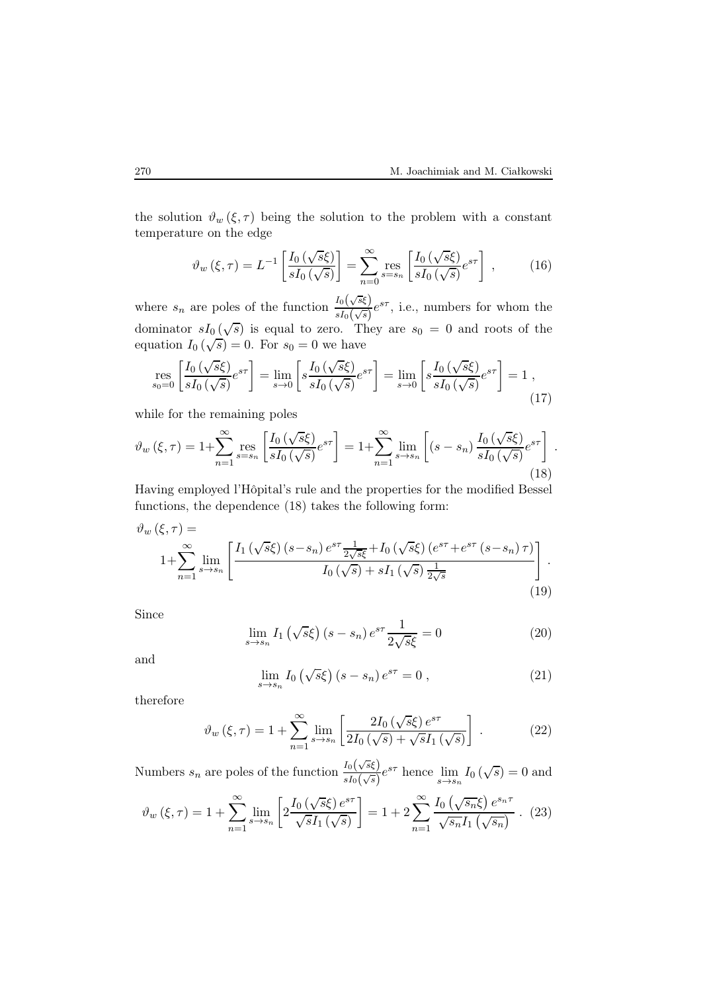the solution  $\vartheta_w(\xi, \tau)$  being the solution to the problem with a constant temperature on the edge

$$
\vartheta_w(\xi,\tau) = L^{-1} \left[ \frac{I_0(\sqrt{s}\xi)}{sI_0(\sqrt{s})} \right] = \sum_{n=0}^{\infty} \operatorname{res}_{s=s_n} \left[ \frac{I_0(\sqrt{s}\xi)}{sI_0(\sqrt{s})} e^{s\tau} \right] , \qquad (16)
$$

where  $s_n$  are poles of the function  $\frac{I_0(\sqrt{s}\xi)}{sI_0(\sqrt{s})}$  $\frac{I_0(\sqrt{s})}{sI_0(\sqrt{s})}e^{s\tau}$ , i.e., numbers for whom the dominator  $sI_0(\sqrt{s})$  is equal to zero. They are  $s_0 = 0$  and roots of the equation  $I_0(\sqrt{s}) = 0$ . For  $s_0 = 0$  we have

$$
\mathop{\mathrm{res}}\limits_{s_0=0} \left[ \frac{I_0\left(\sqrt{s}\xi\right)}{sI_0\left(\sqrt{s}\right)} e^{s\tau} \right] = \lim_{s \to 0} \left[ s \frac{I_0\left(\sqrt{s}\xi\right)}{sI_0\left(\sqrt{s}\right)} e^{s\tau} \right] = \lim_{s \to 0} \left[ s \frac{I_0\left(\sqrt{s}\xi\right)}{sI_0\left(\sqrt{s}\right)} e^{s\tau} \right] = 1,
$$
\n(17)

while for the remaining poles

$$
\vartheta_w(\xi,\tau) = 1 + \sum_{n=1}^{\infty} \operatorname{res}_{s=s_n} \left[ \frac{I_0(\sqrt{s}\xi)}{sI_0(\sqrt{s})} e^{s\tau} \right] = 1 + \sum_{n=1}^{\infty} \lim_{s \to s_n} \left[ (s - s_n) \frac{I_0(\sqrt{s}\xi)}{sI_0(\sqrt{s})} e^{s\tau} \right].
$$
\n(18)

Having employed l'Hôpital's rule and the properties for the modified Bessel functions, the dependence (18) takes the following form:

$$
\vartheta_{w}(\xi,\tau) = \frac{1 + \sum_{n=1}^{\infty} \lim_{s \to s_{n}} \left[ \frac{I_{1}(\sqrt{s}\xi)(s-s_{n}) e^{s\tau} \frac{1}{2\sqrt{s}\xi} + I_{0}(\sqrt{s}\xi)(e^{s\tau} + e^{s\tau}(s-s_{n})\tau)}{I_{0}(\sqrt{s}) + sI_{1}(\sqrt{s}) \frac{1}{2\sqrt{s}}} \right].
$$
\n(19)

Since

$$
\lim_{s \to s_n} I_1\left(\sqrt{s}\xi\right)(s - s_n) e^{s\tau} \frac{1}{2\sqrt{s}\xi} = 0 \tag{20}
$$

and

$$
\lim_{s \to s_n} I_0\left(\sqrt{s}\xi\right)(s - s_n) e^{s\tau} = 0 , \qquad (21)
$$

therefore

$$
\vartheta_w(\xi,\tau) = 1 + \sum_{n=1}^{\infty} \lim_{s \to s_n} \left[ \frac{2I_0(\sqrt{s}\xi) e^{s\tau}}{2I_0(\sqrt{s}) + \sqrt{s}I_1(\sqrt{s})} \right] . \tag{22}
$$

Numbers  $s_n$  are poles of the function  $\frac{I_0(\sqrt{s}\xi)}{sI_0(\sqrt{s})}$  $\frac{I_0(\sqrt{s}\xi)}{sI_0(\sqrt{s})}e^{s\tau}$  hence  $\lim_{s\to s_n} I_0(\sqrt{s})=0$  and

$$
\vartheta_w(\xi,\tau) = 1 + \sum_{n=1}^{\infty} \lim_{s \to s_n} \left[ 2 \frac{I_0(\sqrt{s}\xi) e^{s\tau}}{\sqrt{s}I_1(\sqrt{s})} \right] = 1 + 2 \sum_{n=1}^{\infty} \frac{I_0(\sqrt{s_n}\xi) e^{s_n \tau}}{\sqrt{s_n}I_1(\sqrt{s_n})} . \tag{23}
$$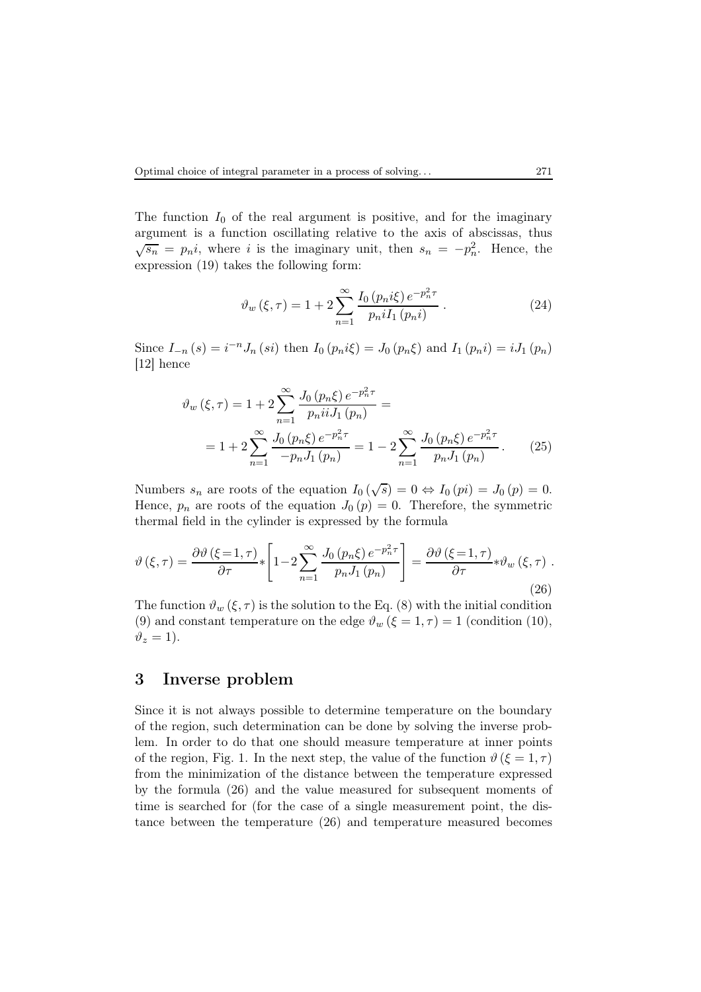The function  $I_0$  of the real argument is positive, and for the imaginary argument is a function oscillating relative to the axis of abscissas, thus  $\sqrt{s_n} = p_n i$ , where i is the imaginary unit, then  $s_n = -p_n^2$ . Hence, the expression (19) takes the following form:

$$
\vartheta_w(\xi,\tau) = 1 + 2 \sum_{n=1}^{\infty} \frac{I_0(p_n i\xi) e^{-p_n^2 \tau}}{p_n i I_1(p_n i)}.
$$
 (24)

Since  $I_{-n}(s) = i^{-n} J_n (si)$  then  $I_0(p_n i\xi) = J_0(p_n \xi)$  and  $I_1(p_n i) = i J_1(p_n)$ [12] hence

$$
\vartheta_w(\xi,\tau) = 1 + 2 \sum_{n=1}^{\infty} \frac{J_0(p_n\xi) e^{-p_n^2\tau}}{p_n i i J_1(p_n)} =
$$
  
= 1 + 2 \sum\_{n=1}^{\infty} \frac{J\_0(p\_n\xi) e^{-p\_n^2\tau}}{-p\_n J\_1(p\_n)} = 1 - 2 \sum\_{n=1}^{\infty} \frac{J\_0(p\_n\xi) e^{-p\_n^2\tau}}{p\_n J\_1(p\_n)} . (25)

Numbers  $s_n$  are roots of the equation  $I_0(\sqrt{s}) = 0 \Leftrightarrow I_0(pi) = J_0(p) = 0.$ Hence,  $p_n$  are roots of the equation  $J_0(p) = 0$ . Therefore, the symmetric thermal field in the cylinder is expressed by the formula

$$
\vartheta(\xi,\tau) = \frac{\partial\vartheta(\xi=1,\tau)}{\partial\tau} * \left[1-2\sum_{n=1}^{\infty} \frac{J_0(p_n\xi)e^{-p_n^2\tau}}{p_nJ_1(p_n)}\right] = \frac{\partial\vartheta(\xi=1,\tau)}{\partial\tau} * \vartheta_w(\xi,\tau) .
$$
\n(26)

The function  $\vartheta_w(\xi, \tau)$  is the solution to the Eq. (8) with the initial condition (9) and constant temperature on the edge  $\vartheta_w(\xi=1,\tau)=1$  (condition (10),  $\vartheta_z = 1$ .

### 3 Inverse problem

Since it is not always possible to determine temperature on the boundary of the region, such determination can be done by solving the inverse problem. In order to do that one should measure temperature at inner points of the region, Fig. 1. In the next step, the value of the function  $\vartheta$  ( $\xi = 1, \tau$ ) from the minimization of the distance between the temperature expressed by the formula (26) and the value measured for subsequent moments of time is searched for (for the case of a single measurement point, the distance between the temperature (26) and temperature measured becomes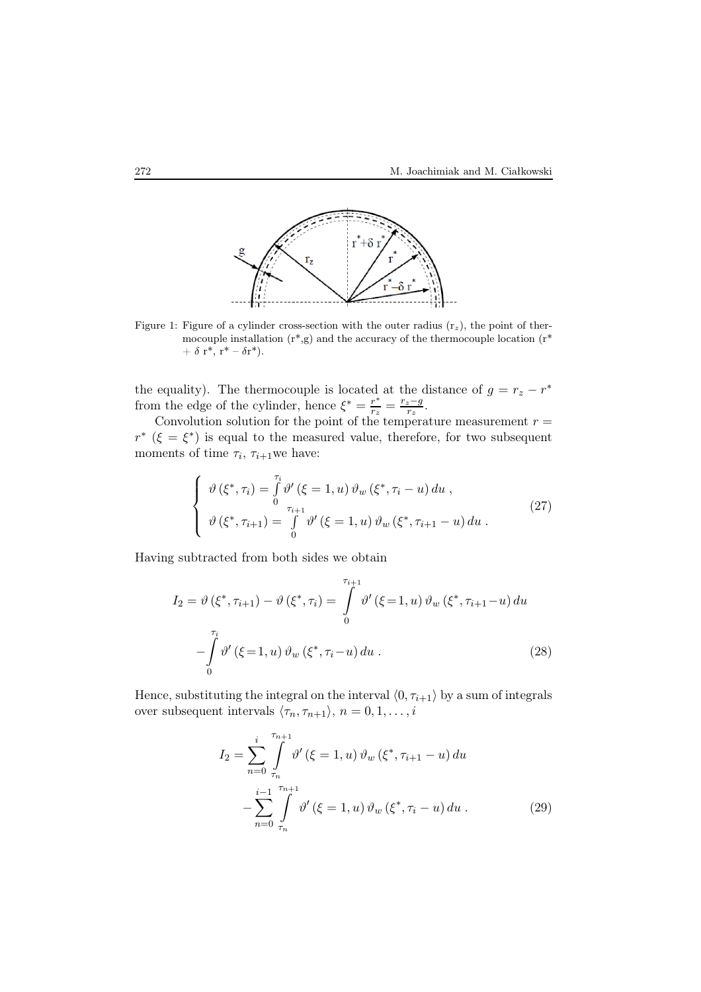

Figure 1: Figure of a cylinder cross-section with the outer radius  $(r_z)$ , the point of thermocouple installation  $(r^*, g)$  and the accuracy of the thermocouple location  $(r^*$  $+ \delta$  r<sup>\*</sup>, r<sup>\*</sup> –  $\delta$ r<sup>\*</sup>).

the equality). The thermocouple is located at the distance of  $g = r_z - r^*$ from the edge of the cylinder, hence  $\xi^* = \frac{r^*}{r_s}$  $\frac{r^*}{r_z} = \frac{r_z - g}{r_z}.$ 

Convolution solution for the point of the temperature measurement  $r =$  $r^*$  ( $\xi = \xi^*$ ) is equal to the measured value, therefore, for two subsequent moments of time  $\tau_i$ ,  $\tau_{i+1}$  we have:

$$
\begin{cases}\n\vartheta(\xi^*, \tau_i) = \int_0^{\tau_i} \vartheta'(\xi = 1, u) \vartheta_w(\xi^*, \tau_i - u) du, \\
\vartheta(\xi^*, \tau_{i+1}) = \int_0^{\tau_{i+1}} \vartheta'(\xi = 1, u) \vartheta_w(\xi^*, \tau_{i+1} - u) du.\n\end{cases} (27)
$$

Having subtracted from both sides we obtain

$$
I_2 = \vartheta(\xi^*, \tau_{i+1}) - \vartheta(\xi^*, \tau_i) = \int_{0}^{\tau_{i+1}} \vartheta'(\xi = 1, u) \vartheta_w(\xi^*, \tau_{i+1} - u) du
$$

$$
-\int_{0}^{\tau_i} \vartheta'(\xi = 1, u) \vartheta_w(\xi^*, \tau_i - u) du.
$$
(28)

Hence, substituting the integral on the interval  $\langle 0, \tau_{i+1} \rangle$  by a sum of integrals over subsequent intervals  $\langle \tau_n, \tau_{n+1} \rangle$ ,  $n = 0, 1, \ldots, i$ 

$$
I_2 = \sum_{n=0}^{i} \int_{\tau_n}^{\tau_{n+1}} \vartheta'(\xi = 1, u) \, \vartheta_w(\xi^*, \tau_{i+1} - u) \, du
$$

$$
- \sum_{n=0}^{i-1} \int_{\tau_n}^{\tau_{n+1}} \vartheta'(\xi = 1, u) \, \vartheta_w(\xi^*, \tau_i - u) \, du \,. \tag{29}
$$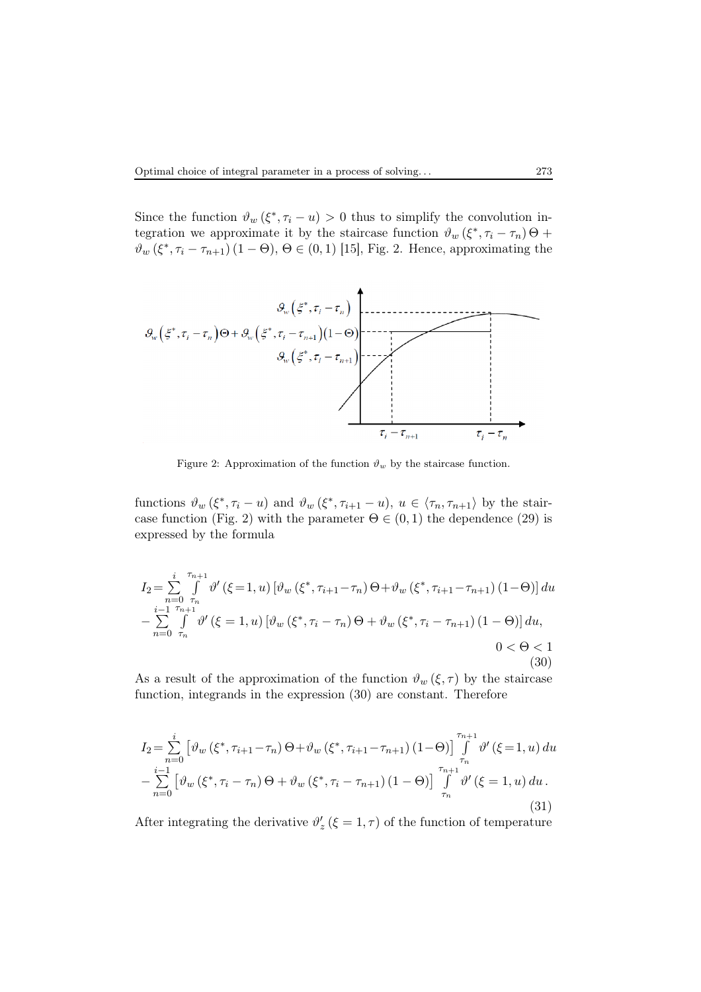Since the function  $\vartheta_w(\xi^*, \tau_i - u) > 0$  thus to simplify the convolution integration we approximate it by the staircase function  $\vartheta_w(\xi^*, \tau_i - \tau_n) \Theta +$  $\vartheta_w(\xi^*, \tau_i - \tau_{n+1})$   $(1 - \Theta)$ ,  $\Theta \in (0, 1)$  [15], Fig. 2. Hence, approximating the



Figure 2: Approximation of the function  $\vartheta_w$  by the staircase function.

functions  $\vartheta_w(\xi^*, \tau_i - u)$  and  $\vartheta_w(\xi^*, \tau_{i+1} - u), u \in \langle \tau_n, \tau_{n+1} \rangle$  by the staircase function (Fig. 2) with the parameter  $\Theta \in (0,1)$  the dependence (29) is expressed by the formula

$$
I_{2} = \sum_{n=0}^{i} \int_{\tau_{n}}^{\tau_{n+1}} \vartheta' (\xi = 1, u) \left[ \vartheta_{w} (\xi^{*}, \tau_{i+1} - \tau_{n}) \Theta + \vartheta_{w} (\xi^{*}, \tau_{i+1} - \tau_{n+1}) (1 - \Theta) \right] du - \sum_{n=0}^{i-1} \int_{\tau_{n}}^{\tau_{n+1}} \vartheta' (\xi = 1, u) \left[ \vartheta_{w} (\xi^{*}, \tau_{i} - \tau_{n}) \Theta + \vartheta_{w} (\xi^{*}, \tau_{i} - \tau_{n+1}) (1 - \Theta) \right] du, \qquad 0 < \Theta < 1
$$
\n(30)

As a result of the approximation of the function  $\vartheta_w(\xi, \tau)$  by the staircase function, integrands in the expression (30) are constant. Therefore

$$
I_{2} = \sum_{n=0}^{i} \left[ \vartheta_{w} \left( \xi^{*}, \tau_{i+1} - \tau_{n} \right) \Theta + \vartheta_{w} \left( \xi^{*}, \tau_{i+1} - \tau_{n+1} \right) (1 - \Theta) \right] \int_{\tau_{n}}^{\tau_{n+1}} \vartheta' \left( \xi = 1, u \right) du - \sum_{n=0}^{i-1} \left[ \vartheta_{w} \left( \xi^{*}, \tau_{i} - \tau_{n} \right) \Theta + \vartheta_{w} \left( \xi^{*}, \tau_{i} - \tau_{n+1} \right) (1 - \Theta) \right] \int_{\tau_{n}}^{\tau_{n+1}} \vartheta' \left( \xi = 1, u \right) du . \tag{31}
$$

After integrating the derivative  $\vartheta_z'(\xi=1,\tau)$  of the function of temperature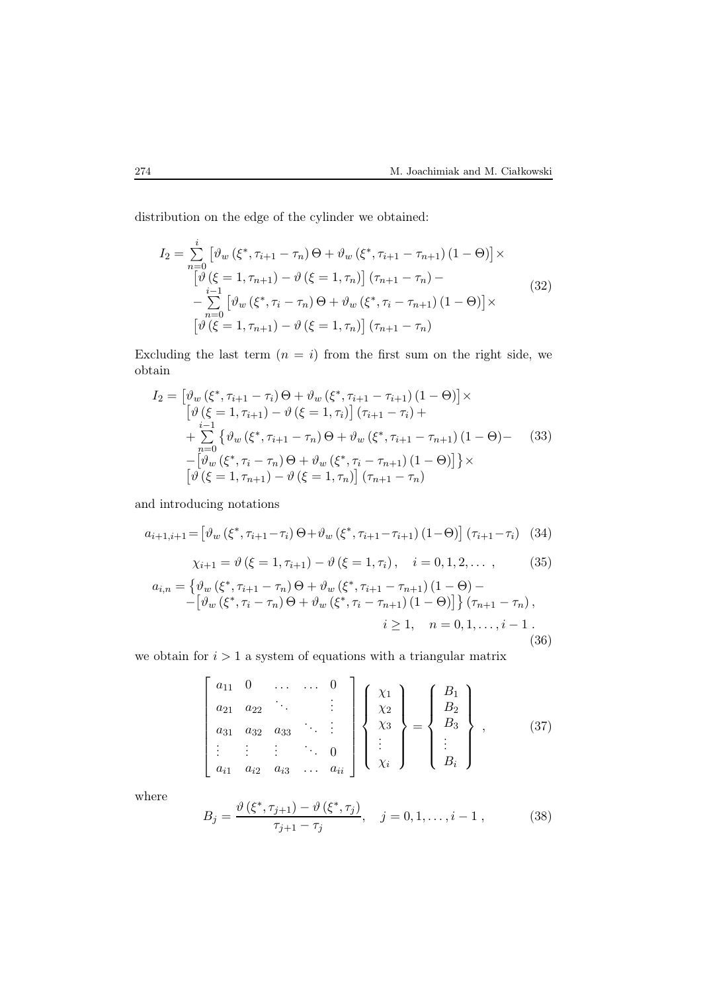distribution on the edge of the cylinder we obtained:

$$
I_2 = \sum_{n=0}^{i} \left[ \vartheta_w \left( \xi^*, \tau_{i+1} - \tau_n \right) \Theta + \vartheta_w \left( \xi^*, \tau_{i+1} - \tau_{n+1} \right) (1 - \Theta) \right] \times
$$
  
\n
$$
\left[ \vartheta \left( \xi = 1, \tau_{n+1} \right) - \vartheta \left( \xi = 1, \tau_n \right) \right] (\tau_{n+1} - \tau_n) -
$$
  
\n
$$
- \sum_{n=0}^{i-1} \left[ \vartheta_w \left( \xi^*, \tau_i - \tau_n \right) \Theta + \vartheta_w \left( \xi^*, \tau_i - \tau_{n+1} \right) (1 - \Theta) \right] \times
$$
  
\n
$$
\left[ \vartheta \left( \xi = 1, \tau_{n+1} \right) - \vartheta \left( \xi = 1, \tau_n \right) \right] (\tau_{n+1} - \tau_n)
$$
  
\n(32)

Excluding the last term  $(n = i)$  from the first sum on the right side, we obtain

$$
I_2 = \left[ \vartheta_w \left( \xi^*, \tau_{i+1} - \tau_i \right) \Theta + \vartheta_w \left( \xi^*, \tau_{i+1} - \tau_{i+1} \right) (1 - \Theta) \right] \times
$$
  
\n
$$
\left[ \vartheta \left( \xi = 1, \tau_{i+1} \right) - \vartheta \left( \xi = 1, \tau_i \right) \right] (\tau_{i+1} - \tau_i) +
$$
  
\n
$$
+ \sum_{\substack{n=0 \ n=0}}^{i-1} \left\{ \vartheta_w \left( \xi^*, \tau_{i+1} - \tau_n \right) \Theta + \vartheta_w \left( \xi^*, \tau_{i+1} - \tau_{n+1} \right) (1 - \Theta) - \left( 33 \right) \right. \right.
$$
  
\n
$$
\left[ \vartheta_w \left( \xi^*, \tau_i - \tau_n \right) \Theta + \vartheta_w \left( \xi^*, \tau_i - \tau_{n+1} \right) (1 - \Theta) \right] \right\} \times
$$
  
\n
$$
\left[ \vartheta \left( \xi = 1, \tau_{n+1} \right) - \vartheta \left( \xi = 1, \tau_n \right) \right] (\tau_{n+1} - \tau_n)
$$
 (33)

and introducing notations

$$
a_{i+1,i+1} = \begin{bmatrix} \vartheta_w(\xi^*, \tau_{i+1} - \tau_i) \Theta + \vartheta_w(\xi^*, \tau_{i+1} - \tau_{i+1}) (1 - \Theta) \end{bmatrix} (\tau_{i+1} - \tau_i) (34)
$$

$$
\chi_{i+1} = \vartheta (\xi = 1, \tau_{i+1}) - \vartheta (\xi = 1, \tau_i), \quad i = 0, 1, 2, \dots,
$$
 (35)

$$
a_{i,n} = \left\{ \vartheta_w \left( \xi^*, \tau_{i+1} - \tau_n \right) \Theta + \vartheta_w \left( \xi^*, \tau_{i+1} - \tau_{n+1} \right) \left( 1 - \Theta \right) - \right. \\ \left. - \left[ \vartheta_w \left( \xi^*, \tau_i - \tau_n \right) \Theta + \vartheta_w \left( \xi^*, \tau_i - \tau_{n+1} \right) \left( 1 - \Theta \right) \right] \right\} \left( \tau_{n+1} - \tau_n \right),
$$
\n
$$
i \ge 1, \quad n = 0, 1, \dots, i - 1.
$$
\n(36)

we obtain for  $i > 1$  a system of equations with a triangular matrix

$$
\begin{bmatrix} a_{11} & 0 & \dots & \dots & 0 \\ a_{21} & a_{22} & \ddots & & \vdots \\ a_{31} & a_{32} & a_{33} & \ddots & \vdots \\ \vdots & \vdots & \vdots & \ddots & 0 \\ a_{i1} & a_{i2} & a_{i3} & \dots & a_{ii} \end{bmatrix} \begin{bmatrix} \chi_1 \\ \chi_2 \\ \chi_3 \\ \vdots \\ \chi_i \end{bmatrix} = \begin{Bmatrix} B_1 \\ B_2 \\ B_3 \\ \vdots \\ B_i \end{Bmatrix}, \qquad (37)
$$

where

$$
B_j = \frac{\vartheta(\xi^*, \tau_{j+1}) - \vartheta(\xi^*, \tau_j)}{\tau_{j+1} - \tau_j}, \quad j = 0, 1, \dots, i-1, \tag{38}
$$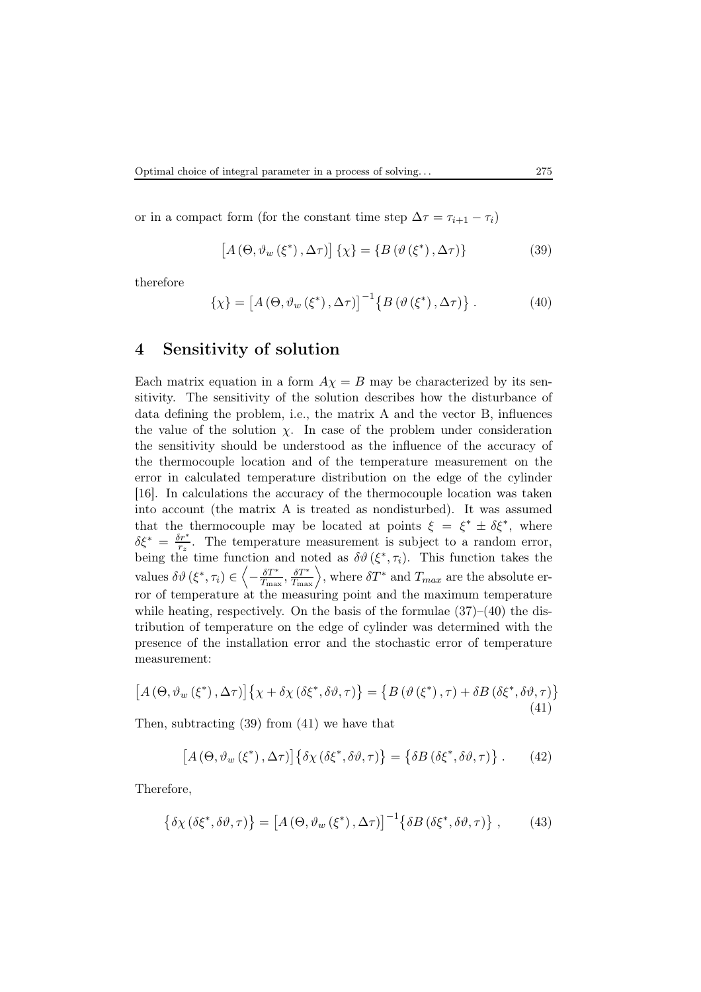or in a compact form (for the constant time step  $\Delta \tau = \tau_{i+1} - \tau_i$ )

$$
[A(\Theta, \vartheta_w(\xi^*), \Delta \tau)] \{\chi\} = \{B(\vartheta(\xi^*), \Delta \tau)\}\
$$
\n(39)

therefore

$$
\{\chi\} = \left[A\left(\Theta, \vartheta_w\left(\xi^*\right), \Delta\tau\right)\right]^{-1} \{B\left(\vartheta\left(\xi^*\right), \Delta\tau\right)\} \,. \tag{40}
$$

### 4 Sensitivity of solution

Each matrix equation in a form  $A\chi = B$  may be characterized by its sensitivity. The sensitivity of the solution describes how the disturbance of data defining the problem, i.e., the matrix A and the vector B, influences the value of the solution  $\chi$ . In case of the problem under consideration the sensitivity should be understood as the influence of the accuracy of the thermocouple location and of the temperature measurement on the error in calculated temperature distribution on the edge of the cylinder [16]. In calculations the accuracy of the thermocouple location was taken into account (the matrix A is treated as nondisturbed). It was assumed that the thermocouple may be located at points  $\xi = \xi^* \pm \delta \xi^*$ , where  $\delta \xi^* = \frac{\delta r^*}{r_s}$  $r_{\overline{r}_z}$ . The temperature measurement is subject to a random error, being the time function and noted as  $\delta\vartheta(\xi^*, \tau_i)$ . This function takes the values  $\delta\vartheta\left(\xi^*,\tau_i\right) \in \left\langle -\frac{\delta T^*}{T_{\text{max}}},\frac{\delta T^*}{T_{\text{max}}}\right\rangle$ , where  $\delta T^*$  and  $T_{max}$  are the absolute error of temperature at the measuring point and the maximum temperature while heating, respectively. On the basis of the formulae  $(37)$ – $(40)$  the distribution of temperature on the edge of cylinder was determined with the presence of the installation error and the stochastic error of temperature measurement:

$$
[A(\Theta, \vartheta_w(\xi^*), \Delta \tau)]\{\chi + \delta \chi (\delta \xi^*, \delta \vartheta, \tau)\} = \{B(\vartheta(\xi^*), \tau) + \delta B(\delta \xi^*, \delta \vartheta, \tau)\}\
$$
\n(41)

Then, subtracting (39) from (41) we have that

$$
[A(\Theta, \vartheta_w(\xi^*), \Delta \tau)] \{\delta \chi (\delta \xi^*, \delta \vartheta, \tau) \} = \{\delta B(\delta \xi^*, \delta \vartheta, \tau) \} .
$$
 (42)

Therefore,

$$
\{\delta \chi \left(\delta \xi^*, \delta \vartheta, \tau\right)\} = \left[A\left(\Theta, \vartheta_w \left(\xi^*\right), \Delta \tau\right)\right]^{-1} \{\delta B\left(\delta \xi^*, \delta \vartheta, \tau\right)\},\tag{43}
$$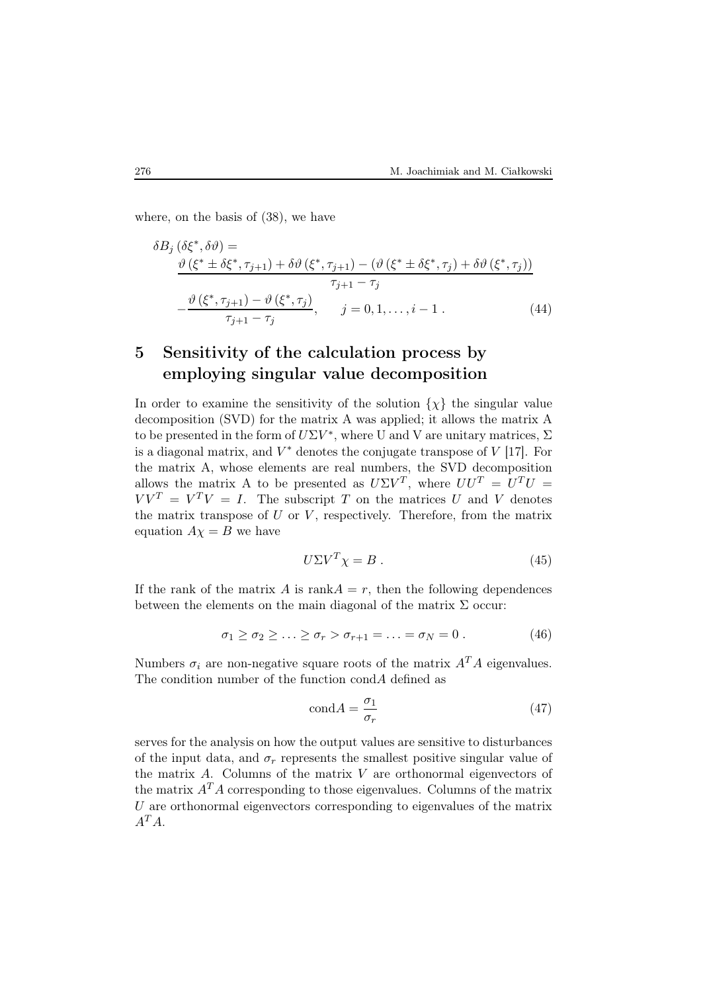where, on the basis of (38), we have

$$
\delta B_j \left( \delta \xi^*, \delta \vartheta \right) =
$$
  
\n
$$
\frac{\vartheta \left( \xi^* \pm \delta \xi^*, \tau_{j+1} \right) + \delta \vartheta \left( \xi^*, \tau_{j+1} \right) - \left( \vartheta \left( \xi^* \pm \delta \xi^*, \tau_j \right) + \delta \vartheta \left( \xi^*, \tau_j \right) \right)}{\tau_{j+1} - \tau_j}
$$
  
\n
$$
-\frac{\vartheta \left( \xi^*, \tau_{j+1} \right) - \vartheta \left( \xi^*, \tau_j \right)}{\tau_{j+1} - \tau_j}, \qquad j = 0, 1, \dots, i - 1.
$$
\n(44)

# 5 Sensitivity of the calculation process by employing singular value decomposition

In order to examine the sensitivity of the solution  $\{\chi\}$  the singular value decomposition (SVD) for the matrix A was applied; it allows the matrix A to be presented in the form of  $U\Sigma V^*$ , where U and V are unitary matrices,  $\Sigma$ is a diagonal matrix, and  $V^*$  denotes the conjugate transpose of  $V$  [17]. For the matrix A, whose elements are real numbers, the SVD decomposition allows the matrix A to be presented as  $U\Sigma V^T$ , where  $UU^T = U^T U =$  $VV^{T} = V^{T}V = I$ . The subscript T on the matrices U and V denotes the matrix transpose of  $U$  or  $V$ , respectively. Therefore, from the matrix equation  $A\chi = B$  we have

$$
U\Sigma V^T \chi = B \ . \tag{45}
$$

If the rank of the matrix A is rank $A = r$ , then the following dependences between the elements on the main diagonal of the matrix  $\Sigma$  occur:

$$
\sigma_1 \geq \sigma_2 \geq \ldots \geq \sigma_r > \sigma_{r+1} = \ldots = \sigma_N = 0. \tag{46}
$$

Numbers  $\sigma_i$  are non-negative square roots of the matrix  $A^T A$  eigenvalues. The condition number of the function condA defined as

$$
\text{cond}A = \frac{\sigma_1}{\sigma_r} \tag{47}
$$

serves for the analysis on how the output values are sensitive to disturbances of the input data, and  $\sigma_r$  represents the smallest positive singular value of the matrix  $A$ . Columns of the matrix  $V$  are orthonormal eigenvectors of the matrix  $A<sup>T</sup>A$  corresponding to those eigenvalues. Columns of the matrix U are orthonormal eigenvectors corresponding to eigenvalues of the matrix  $A^T A$ .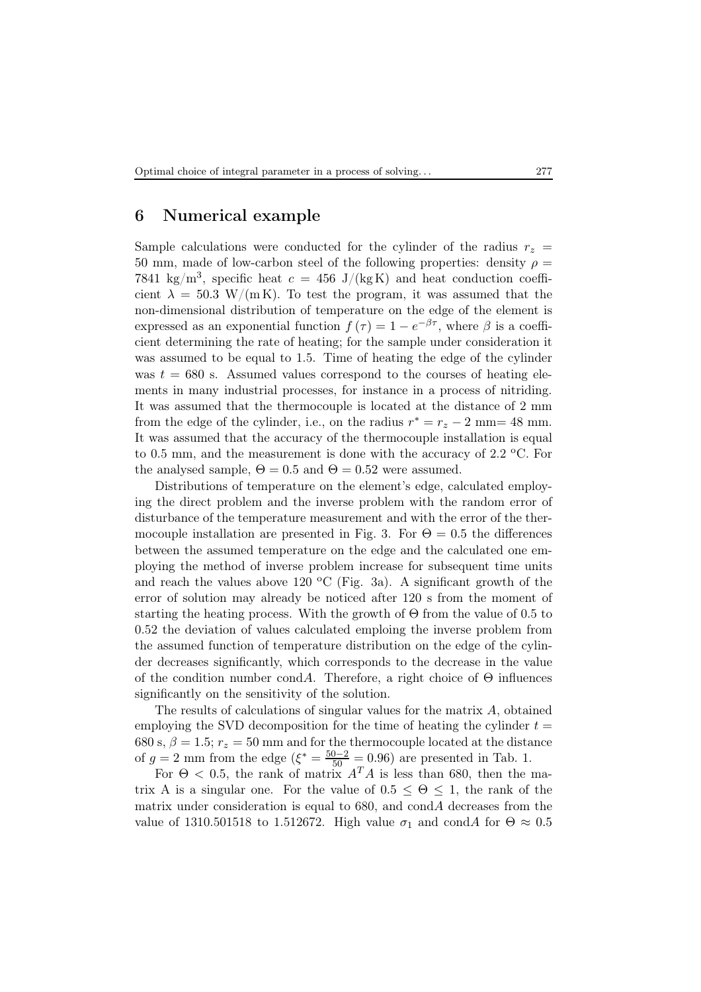## 6 Numerical example

Sample calculations were conducted for the cylinder of the radius  $r_z$  = 50 mm, made of low-carbon steel of the following properties: density  $\rho =$ 7841 kg/m<sup>3</sup>, specific heat  $c = 456$  J/(kgK) and heat conduction coefficient  $\lambda = 50.3 \text{ W/(m K)}$ . To test the program, it was assumed that the non-dimensional distribution of temperature on the edge of the element is expressed as an exponential function  $f(\tau) = 1 - e^{-\beta \tau}$ , where  $\beta$  is a coefficient determining the rate of heating; for the sample under consideration it was assumed to be equal to 1.5. Time of heating the edge of the cylinder was  $t = 680$  s. Assumed values correspond to the courses of heating elements in many industrial processes, for instance in a process of nitriding. It was assumed that the thermocouple is located at the distance of 2 mm from the edge of the cylinder, i.e., on the radius  $r^* = r_z - 2$  mm= 48 mm. It was assumed that the accuracy of the thermocouple installation is equal to 0.5 mm, and the measurement is done with the accuracy of 2.2  $\rm{^{\circ}C}$ . For the analysed sample,  $\Theta = 0.5$  and  $\Theta = 0.52$  were assumed.

Distributions of temperature on the element's edge, calculated employing the direct problem and the inverse problem with the random error of disturbance of the temperature measurement and with the error of the thermocouple installation are presented in Fig. 3. For  $\Theta = 0.5$  the differences between the assumed temperature on the edge and the calculated one employing the method of inverse problem increase for subsequent time units and reach the values above 120  $\rm{^{\circ}C}$  (Fig. 3a). A significant growth of the error of solution may already be noticed after 120 s from the moment of starting the heating process. With the growth of  $\Theta$  from the value of 0.5 to 0.52 the deviation of values calculated emploing the inverse problem from the assumed function of temperature distribution on the edge of the cylinder decreases significantly, which corresponds to the decrease in the value of the condition number condA. Therefore, a right choice of  $\Theta$  influences significantly on the sensitivity of the solution.

The results of calculations of singular values for the matrix A, obtained employing the SVD decomposition for the time of heating the cylinder  $t =$ 680 s,  $\beta = 1.5$ ;  $r_z = 50$  mm and for the thermocouple located at the distance of  $g = 2$  mm from the edge  $(\xi^* = \frac{50-2}{50} = 0.96)$  are presented in Tab. 1.

For  $\Theta$  < 0.5, the rank of matrix  $A<sup>T</sup>A$  is less than 680, then the matrix A is a singular one. For the value of  $0.5 \leq \Theta \leq 1$ , the rank of the matrix under consideration is equal to  $680$ , and cond $\ddot{A}$  decreases from the value of 1310.501518 to 1.512672. High value  $\sigma_1$  and condA for  $\Theta \approx 0.5$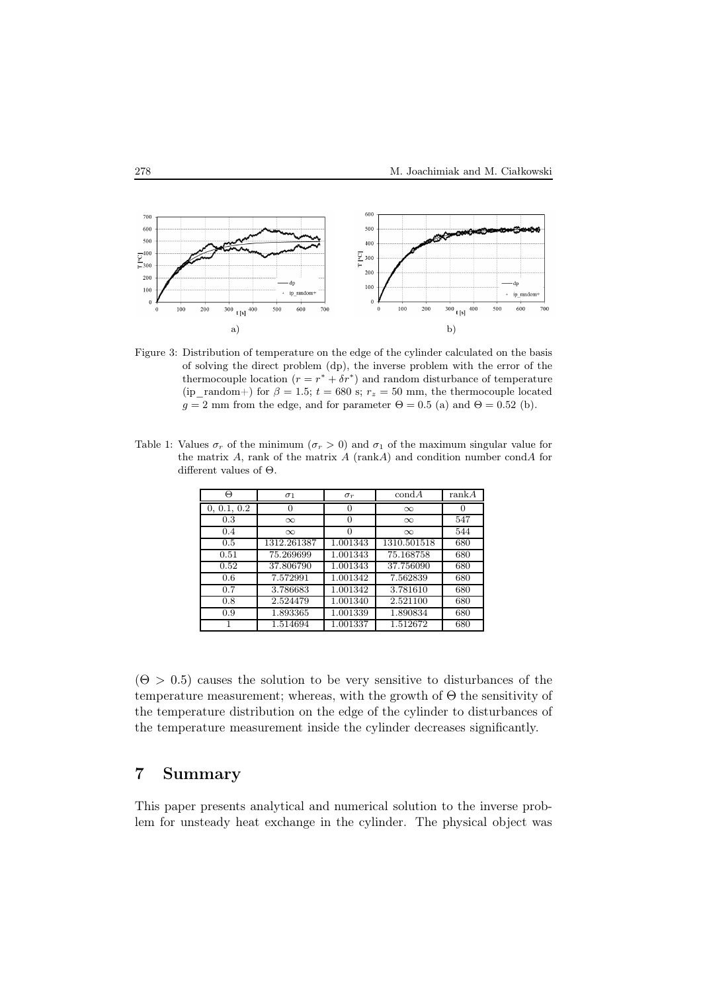

Figure 3: Distribution of temperature on the edge of the cylinder calculated on the basis of solving the direct problem (dp), the inverse problem with the error of the thermocouple location  $(r = r^* + \delta r^*)$  and random disturbance of temperature (ip\_random+) for  $\beta = 1.5$ ;  $t = 680$  s;  $r_z = 50$  mm, the thermocouple located  $g = 2$  mm from the edge, and for parameter  $\Theta = 0.5$  (a) and  $\Theta = 0.52$  (b).

Table 1: Values  $\sigma_r$  of the minimum  $(\sigma_r > 0)$  and  $\sigma_1$  of the maximum singular value for the matrix  $A$ , rank of the matrix  $\overline{A}$  (rank $A$ ) and condition number cond $\overline{A}$  for different values of Θ.

| Θ           | $\sigma_1$  | $\sigma_r$ | $\text{cond} A$ | rankA |
|-------------|-------------|------------|-----------------|-------|
| 0, 0.1, 0.2 | 0           | 0          | $\infty$        |       |
| 0.3         | $\infty$    | 0          | $\infty$        | 547   |
| 0.4         | $\infty$    | 0          | $\infty$        | 544   |
| 0.5         | 1312.261387 | 1.001343   | 1310.501518     | 680   |
| 0.51        | 75.269699   | 1.001343   | 75.168758       | 680   |
| 0.52        | 37.806790   | 1.001343   | 37.756090       | 680   |
| 0.6         | 7.572991    | 1.001342   | 7.562839        | 680   |
| 0.7         | 3.786683    | 1.001342   | 3.781610        | 680   |
| 0.8         | 2.524479    | 1.001340   | 2.521100        | 680   |
| 0.9         | 1.893365    | 1.001339   | 1.890834        | 680   |
|             | 1.514694    | 1.001337   | 1.512672        | 680   |

 $(\Theta > 0.5)$  causes the solution to be very sensitive to disturbances of the temperature measurement; whereas, with the growth of  $\Theta$  the sensitivity of the temperature distribution on the edge of the cylinder to disturbances of the temperature measurement inside the cylinder decreases significantly.

## 7 Summary

This paper presents analytical and numerical solution to the inverse problem for unsteady heat exchange in the cylinder. The physical object was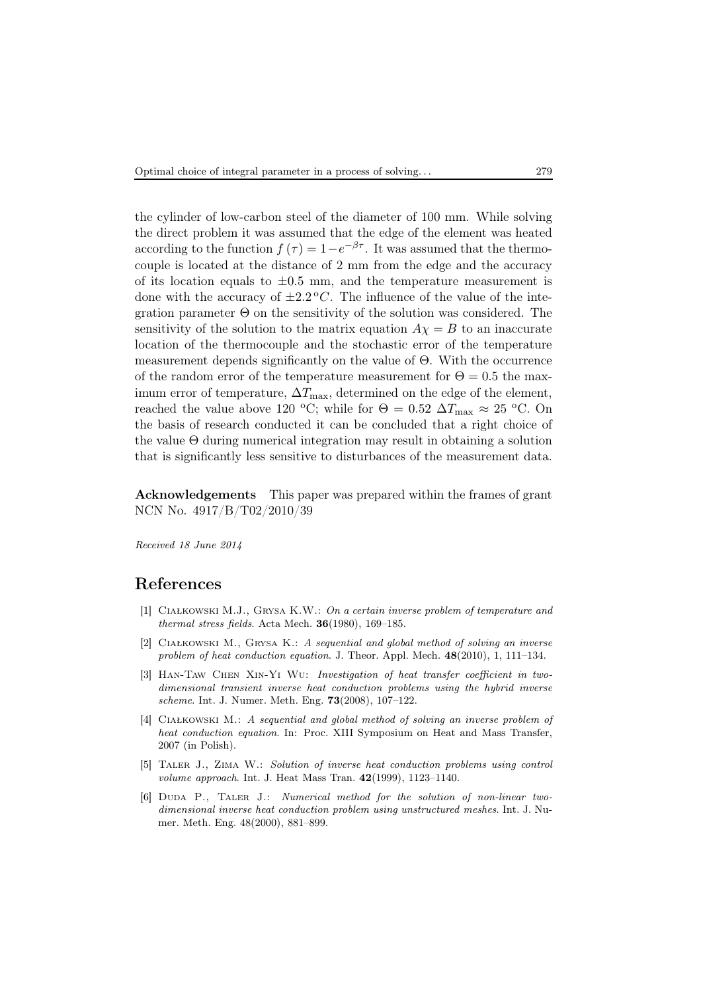the cylinder of low-carbon steel of the diameter of 100 mm. While solving the direct problem it was assumed that the edge of the element was heated according to the function  $f(\tau) = 1 - e^{-\beta \tau}$ . It was assumed that the thermocouple is located at the distance of 2 mm from the edge and the accuracy of its location equals to  $\pm 0.5$  mm, and the temperature measurement is done with the accuracy of  $\pm 2.2$  °C. The influence of the value of the integration parameter  $\Theta$  on the sensitivity of the solution was considered. The sensitivity of the solution to the matrix equation  $A\chi = B$  to an inaccurate location of the thermocouple and the stochastic error of the temperature measurement depends significantly on the value of Θ. With the occurrence of the random error of the temperature measurement for  $\Theta = 0.5$  the maximum error of temperature,  $\Delta T_{\text{max}}$ , determined on the edge of the element, reached the value above 120 °C; while for  $\Theta = 0.52 \Delta T_{\text{max}} \approx 25 \text{ °C}$ . On the basis of research conducted it can be concluded that a right choice of the value  $\Theta$  during numerical integration may result in obtaining a solution that is significantly less sensitive to disturbances of the measurement data.

Acknowledgements This paper was prepared within the frames of grant NCN No. 4917/B/T02/2010/39

Received 18 June 2014

### References

- [1] Ciałkowski M.J., Grysa K.W.: On a certain inverse problem of temperature and thermal stress fields. Acta Mech. 36(1980), 169–185.
- [2] Ciałkowski M., Grysa K.: A sequential and global method of solving an inverse problem of heat conduction equation. J. Theor. Appl. Mech.  $48(2010)$ , 1, 111-134.
- [3] Han-Taw Chen Xin-Yi Wu: Investigation of heat transfer coefficient in twodimensional transient inverse heat conduction problems using the hybrid inverse scheme. Int. J. Numer. Meth. Eng. 73(2008), 107–122.
- [4] Ciałkowski M.: A sequential and global method of solving an inverse problem of heat conduction equation. In: Proc. XIII Symposium on Heat and Mass Transfer, 2007 (in Polish).
- [5] Taler J., Zima W.: Solution of inverse heat conduction problems using control volume approach. Int. J. Heat Mass Tran. 42(1999), 1123-1140.
- [6] Duda P., Taler J.: Numerical method for the solution of non-linear twodimensional inverse heat conduction problem using unstructured meshes. Int. J. Numer. Meth. Eng. 48(2000), 881–899.